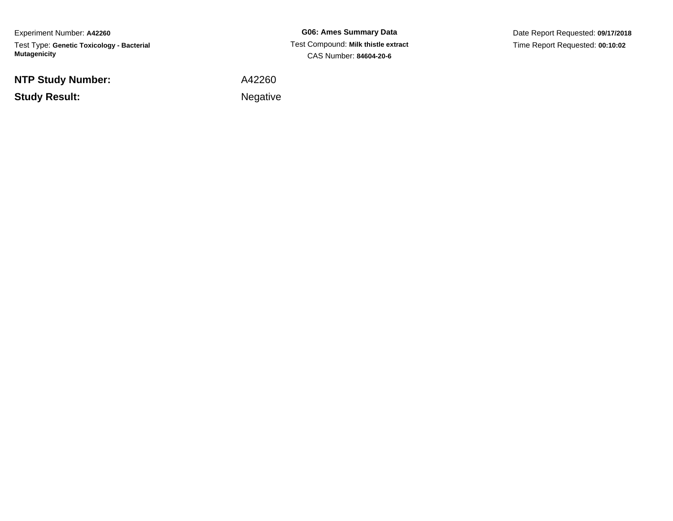Experiment Number: **A42260**Test Type: **Genetic Toxicology - Bacterial Mutagenicity**

**NTP Study Number:**

**Study Result:**

**G06: Ames Summary Data** Test Compound: **Milk thistle extract**CAS Number: **84604-20-6**

Date Report Requested: **09/17/2018**Time Report Requested: **00:10:02**

A42260

Negative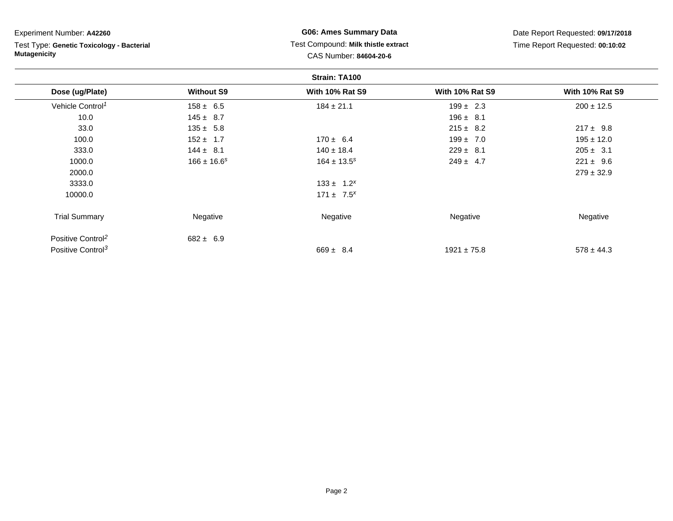| Experiment Number: A42260                                        | <b>G06: Ames Summary Data</b> |                                     |                                 | Date Report Requested: 09/17/2018 |
|------------------------------------------------------------------|-------------------------------|-------------------------------------|---------------------------------|-----------------------------------|
| Test Type: Genetic Toxicology - Bacterial<br><b>Mutagenicity</b> |                               | Test Compound: Milk thistle extract | Time Report Requested: 00:10:02 |                                   |
|                                                                  |                               | CAS Number: 84604-20-6              |                                 |                                   |
|                                                                  |                               | Strain: TA100                       |                                 |                                   |
| Dose (ug/Plate)                                                  | <b>Without S9</b>             | <b>With 10% Rat S9</b>              | <b>With 10% Rat S9</b>          | <b>With 10% Rat S9</b>            |
| Vehicle Control <sup>1</sup>                                     | $158 \pm 6.5$                 | $184 \pm 21.1$                      | $199 \pm 2.3$                   | $200 \pm 12.5$                    |
| 10.0                                                             | $145 \pm 8.7$                 |                                     | $196 \pm 8.1$                   |                                   |
| 33.0                                                             | $135 \pm 5.8$                 |                                     | $215 \pm 8.2$                   | $217 \pm 9.8$                     |
| 100.0                                                            | $152 \pm 1.7$                 | $170 \pm 6.4$                       | $199 \pm 7.0$                   | $195 \pm 12.0$                    |
| 333.0                                                            | $144 \pm 8.1$                 | $140 \pm 18.4$                      | $229 \pm 8.1$                   | $205 \pm 3.1$                     |
| 1000.0                                                           | $166 \pm 16.6^s$              | $164 \pm 13.5^s$                    | $249 \pm 4.7$                   | $221 \pm 9.6$                     |
| 2000.0                                                           |                               |                                     |                                 | $279 \pm 32.9$                    |
| 3333.0                                                           |                               | $133 \pm 1.2^{x}$                   |                                 |                                   |
| 10000.0                                                          |                               | $171 \pm 7.5^{x}$                   |                                 |                                   |
| <b>Trial Summary</b>                                             | Negative                      | Negative                            | Negative                        | Negative                          |
| Positive Control <sup>2</sup>                                    | $682 \pm 6.9$                 |                                     |                                 |                                   |
| Positive Control <sup>3</sup>                                    |                               | $669 \pm 8.4$                       | $1921 \pm 75.8$                 | $578 \pm 44.3$                    |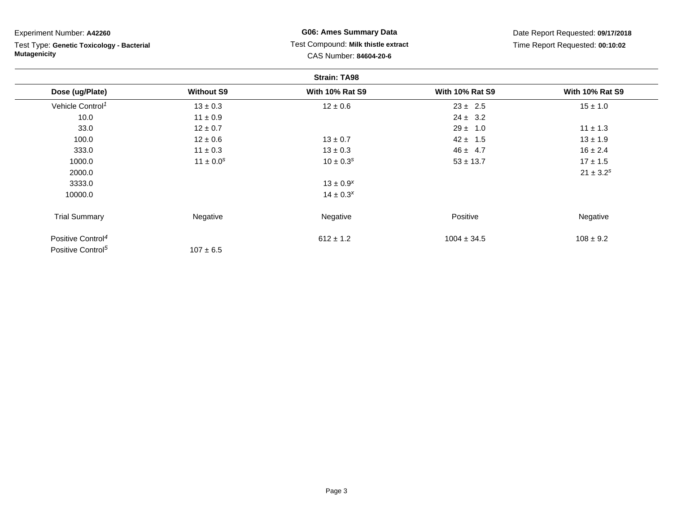| Experiment Number: A42260                                        |                   | <b>G06: Ames Summary Data</b>       | Date Report Requested: 09/17/2018<br>Time Report Requested: 00:10:02 |                        |
|------------------------------------------------------------------|-------------------|-------------------------------------|----------------------------------------------------------------------|------------------------|
| Test Type: Genetic Toxicology - Bacterial<br><b>Mutagenicity</b> |                   | Test Compound: Milk thistle extract |                                                                      |                        |
|                                                                  |                   | CAS Number: 84604-20-6              |                                                                      |                        |
|                                                                  |                   | <b>Strain: TA98</b>                 |                                                                      |                        |
| Dose (ug/Plate)                                                  | <b>Without S9</b> | <b>With 10% Rat S9</b>              | <b>With 10% Rat S9</b>                                               | <b>With 10% Rat S9</b> |
| Vehicle Control <sup>1</sup>                                     | $13 \pm 0.3$      | $12 \pm 0.6$                        | $23 \pm 2.5$                                                         | $15 \pm 1.0$           |
| 10.0                                                             | $11 \pm 0.9$      |                                     | $24 \pm 3.2$                                                         |                        |
| 33.0                                                             | $12 \pm 0.7$      |                                     | $29 \pm 1.0$                                                         | $11 \pm 1.3$           |
| 100.0                                                            | $12 \pm 0.6$      | $13 \pm 0.7$                        | $42 \pm 1.5$                                                         | $13 \pm 1.9$           |
| 333.0                                                            | $11 \pm 0.3$      | $13 \pm 0.3$                        | $46 \pm 4.7$                                                         | $16 \pm 2.4$           |
| 1000.0                                                           | $11 \pm 0.0^s$    | $10 \pm 0.3^s$                      | $53 \pm 13.7$                                                        | $17 \pm 1.5$           |
| 2000.0                                                           |                   |                                     |                                                                      | $21 \pm 3.2^s$         |
| 3333.0                                                           |                   | $13 \pm 0.9^{x}$                    |                                                                      |                        |
| 10000.0                                                          |                   | $14 \pm 0.3^{x}$                    |                                                                      |                        |
| <b>Trial Summary</b>                                             | Negative          | Negative                            | Positive                                                             | Negative               |
| Positive Control <sup>4</sup>                                    |                   | $612 \pm 1.2$                       | $1004 \pm 34.5$                                                      | $108 \pm 9.2$          |
| Positive Control <sup>5</sup>                                    | $107 \pm 6.5$     |                                     |                                                                      |                        |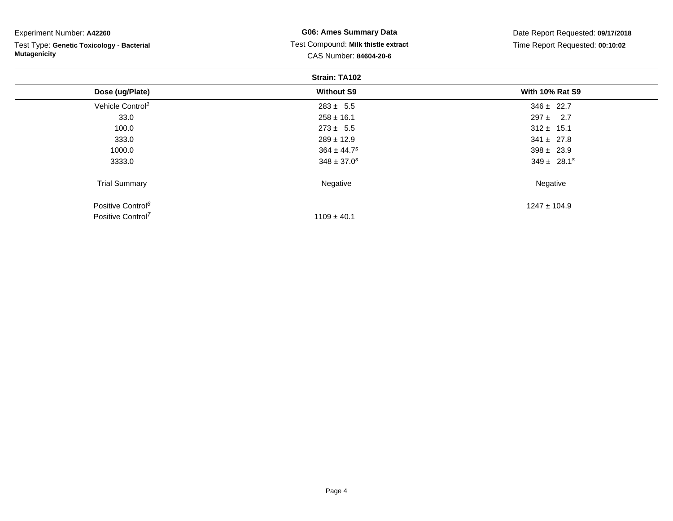| Experiment Number: A42260                 | <b>G06: Ames Summary Data</b>       | Date Report Requested: 09/17/2018<br>Time Report Requested: 00:10:02 |  |  |  |  |  |
|-------------------------------------------|-------------------------------------|----------------------------------------------------------------------|--|--|--|--|--|
| Test Type: Genetic Toxicology - Bacterial | Test Compound: Milk thistle extract |                                                                      |  |  |  |  |  |
| <b>Mutagenicity</b>                       | CAS Number: 84604-20-6              |                                                                      |  |  |  |  |  |
| Strain: TA102                             |                                     |                                                                      |  |  |  |  |  |
| Dose (ug/Plate)                           | <b>Without S9</b>                   | <b>With 10% Rat S9</b>                                               |  |  |  |  |  |
| Vehicle Control <sup>1</sup>              | $283 \pm 5.5$                       | $346 \pm 22.7$                                                       |  |  |  |  |  |
| 33.0                                      | $258 \pm 16.1$                      | $297 \pm 2.7$                                                        |  |  |  |  |  |
| 100.0                                     | $273 \pm 5.5$                       | $312 \pm 15.1$                                                       |  |  |  |  |  |
| 333.0                                     | $289 \pm 12.9$                      | $341 \pm 27.8$                                                       |  |  |  |  |  |
| 1000.0                                    | $364 \pm 44.7$ <sup>s</sup>         | $398 \pm 23.9$                                                       |  |  |  |  |  |
| 3333.0                                    | $348 \pm 37.0^s$                    | $349 \pm 28.1^s$                                                     |  |  |  |  |  |
| <b>Trial Summary</b>                      | Negative                            | Negative                                                             |  |  |  |  |  |
| Positive Control <sup>6</sup>             |                                     | $1247 \pm 104.9$                                                     |  |  |  |  |  |

 $1109 \pm 40.1$ 

Positive Control<sup>7</sup>